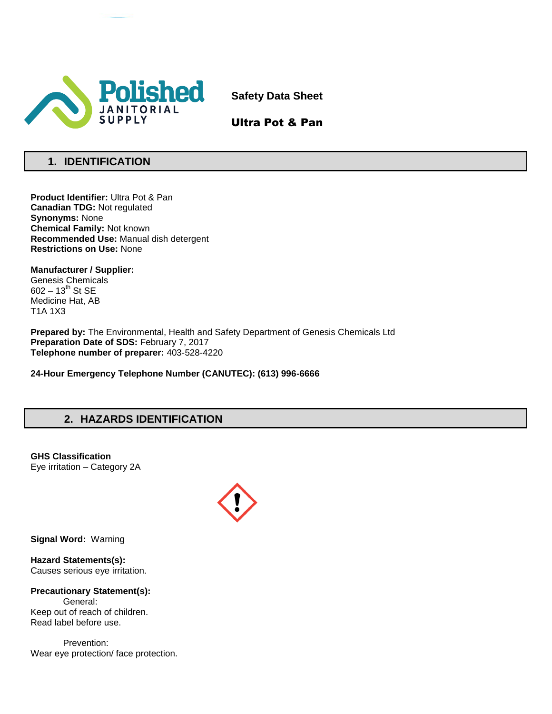

**Safety Data Sheet**

Ultra Pot & Pan

# **1. IDENTIFICATION**

**Product Identifier:** Ultra Pot & Pan **Canadian TDG:** Not regulated **Synonyms:** None **Chemical Family:** Not known **Recommended Use:** Manual dish detergent **Restrictions on Use:** None

**Manufacturer / Supplier:** Genesis Chemicals  $602 - 13^{th}$  St SE Medicine Hat, AB T1A 1X3

**Prepared by:** The Environmental, Health and Safety Department of Genesis Chemicals Ltd **Preparation Date of SDS:** February 7, 2017 **Telephone number of preparer:** 403-528-4220

**24-Hour Emergency Telephone Number (CANUTEC): (613) 996-6666**

# **2. HAZARDS IDENTIFICATION**

**GHS Classification** Eye irritation – Category 2A



**Signal Word:** Warning

**Hazard Statements(s):** Causes serious eye irritation.

**Precautionary Statement(s):** General: Keep out of reach of children. Read label before use.

Prevention: Wear eye protection/ face protection.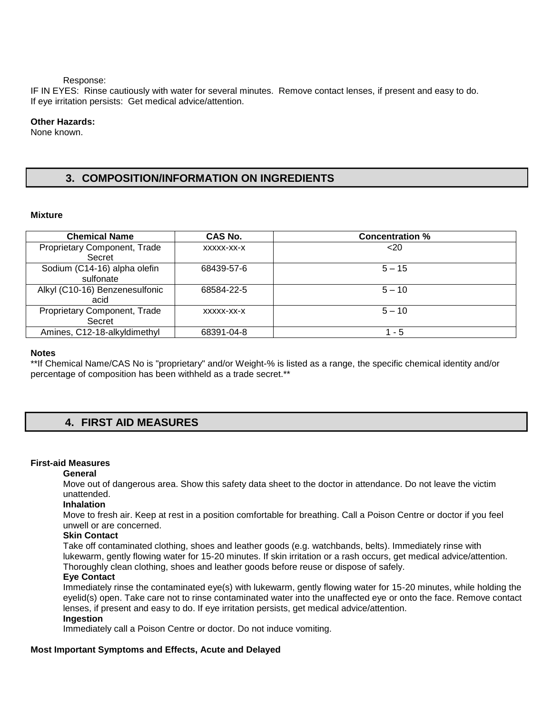Response:

IF IN EYES: Rinse cautiously with water for several minutes. Remove contact lenses, if present and easy to do. If eye irritation persists: Get medical advice/attention.

#### **Other Hazards:**

None known.

# **3. COMPOSITION/INFORMATION ON INGREDIENTS**

#### **Mixture**

| <b>Chemical Name</b>                      | CAS No.    | <b>Concentration %</b> |  |
|-------------------------------------------|------------|------------------------|--|
| Proprietary Component, Trade<br>Secret    | XXXXX-XX-X | $20$                   |  |
| Sodium (C14-16) alpha olefin<br>sulfonate | 68439-57-6 | $5 - 15$               |  |
| Alkyl (C10-16) Benzenesulfonic<br>acid    | 68584-22-5 | $5 - 10$               |  |
| Proprietary Component, Trade<br>Secret    | XXXXX-XX-X | $5 - 10$               |  |
| Amines, C12-18-alkyldimethyl              | 68391-04-8 | - 5                    |  |

#### **Notes**

\*\*If Chemical Name/CAS No is "proprietary" and/or Weight-% is listed as a range, the specific chemical identity and/or percentage of composition has been withheld as a trade secret.\*\*

## **4. FIRST AID MEASURES**

### **First-aid Measures**

#### **General**

Move out of dangerous area. Show this safety data sheet to the doctor in attendance. Do not leave the victim unattended.

#### **Inhalation**

Move to fresh air. Keep at rest in a position comfortable for breathing. Call a Poison Centre or doctor if you feel unwell or are concerned.

#### **Skin Contact**

Take off contaminated clothing, shoes and leather goods (e.g. watchbands, belts). Immediately rinse with lukewarm, gently flowing water for 15-20 minutes. If skin irritation or a rash occurs, get medical advice/attention. Thoroughly clean clothing, shoes and leather goods before reuse or dispose of safely.

#### **Eye Contact**

Immediately rinse the contaminated eye(s) with lukewarm, gently flowing water for 15-20 minutes, while holding the eyelid(s) open. Take care not to rinse contaminated water into the unaffected eye or onto the face. Remove contact lenses, if present and easy to do. If eye irritation persists, get medical advice/attention.

### **Ingestion**

Immediately call a Poison Centre or doctor. Do not induce vomiting.

#### **Most Important Symptoms and Effects, Acute and Delayed**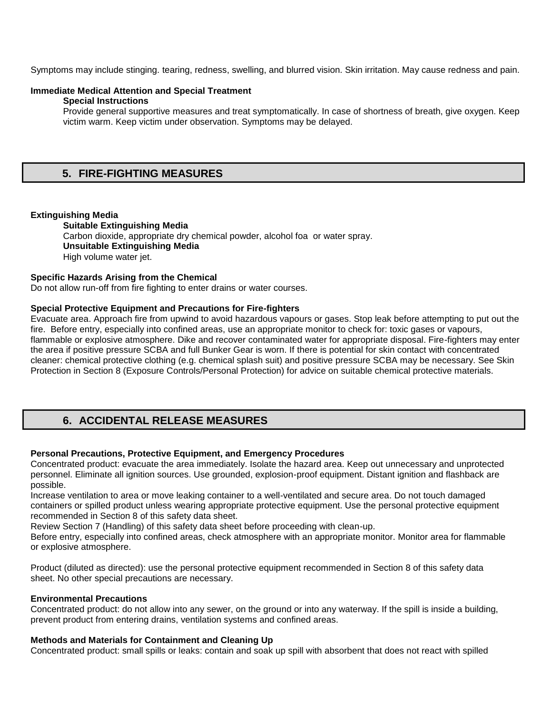Symptoms may include stinging. tearing, redness, swelling, and blurred vision. Skin irritation. May cause redness and pain.

#### **Immediate Medical Attention and Special Treatment**

#### **Special Instructions**

Provide general supportive measures and treat symptomatically. In case of shortness of breath, give oxygen. Keep victim warm. Keep victim under observation. Symptoms may be delayed.

### **5. FIRE-FIGHTING MEASURES**

#### **Extinguishing Media**

**Suitable Extinguishing Media** Carbon dioxide, appropriate dry chemical powder, alcohol foa or water spray. **Unsuitable Extinguishing Media**  High volume water jet.

#### **Specific Hazards Arising from the Chemical**

Do not allow run-off from fire fighting to enter drains or water courses.

#### **Special Protective Equipment and Precautions for Fire-fighters**

Evacuate area. Approach fire from upwind to avoid hazardous vapours or gases. Stop leak before attempting to put out the fire. Before entry, especially into confined areas, use an appropriate monitor to check for: toxic gases or vapours, flammable or explosive atmosphere. Dike and recover contaminated water for appropriate disposal. Fire-fighters may enter the area if positive pressure SCBA and full Bunker Gear is worn. If there is potential for skin contact with concentrated cleaner: chemical protective clothing (e.g. chemical splash suit) and positive pressure SCBA may be necessary. See Skin Protection in Section 8 (Exposure Controls/Personal Protection) for advice on suitable chemical protective materials.

# **6. ACCIDENTAL RELEASE MEASURES**

#### **Personal Precautions, Protective Equipment, and Emergency Procedures**

Concentrated product: evacuate the area immediately. Isolate the hazard area. Keep out unnecessary and unprotected personnel. Eliminate all ignition sources. Use grounded, explosion-proof equipment. Distant ignition and flashback are possible.

Increase ventilation to area or move leaking container to a well-ventilated and secure area. Do not touch damaged containers or spilled product unless wearing appropriate protective equipment. Use the personal protective equipment recommended in Section 8 of this safety data sheet.

Review Section 7 (Handling) of this safety data sheet before proceeding with clean-up.

Before entry, especially into confined areas, check atmosphere with an appropriate monitor. Monitor area for flammable or explosive atmosphere.

Product (diluted as directed): use the personal protective equipment recommended in Section 8 of this safety data sheet. No other special precautions are necessary.

#### **Environmental Precautions**

Concentrated product: do not allow into any sewer, on the ground or into any waterway. If the spill is inside a building, prevent product from entering drains, ventilation systems and confined areas.

#### **Methods and Materials for Containment and Cleaning Up**

Concentrated product: small spills or leaks: contain and soak up spill with absorbent that does not react with spilled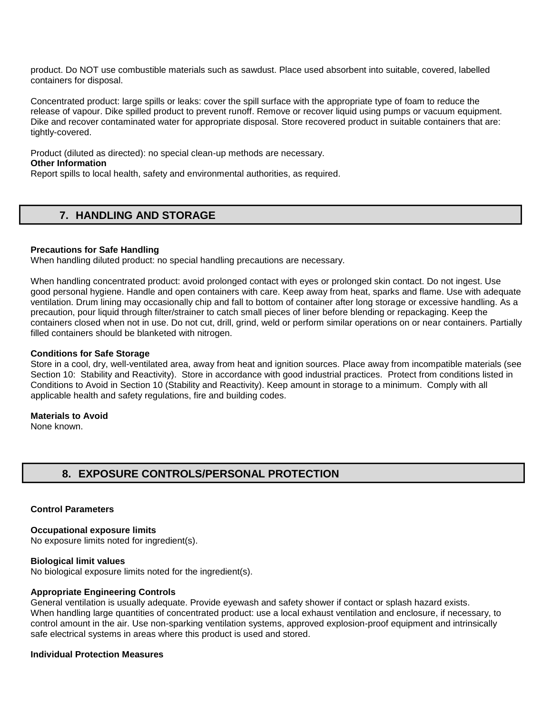product. Do NOT use combustible materials such as sawdust. Place used absorbent into suitable, covered, labelled containers for disposal.

Concentrated product: large spills or leaks: cover the spill surface with the appropriate type of foam to reduce the release of vapour. Dike spilled product to prevent runoff. Remove or recover liquid using pumps or vacuum equipment. Dike and recover contaminated water for appropriate disposal. Store recovered product in suitable containers that are: tightly-covered.

Product (diluted as directed): no special clean-up methods are necessary. **Other Information** 

Report spills to local health, safety and environmental authorities, as required.

# **7. HANDLING AND STORAGE**

#### **Precautions for Safe Handling**

When handling diluted product: no special handling precautions are necessary.

When handling concentrated product: avoid prolonged contact with eyes or prolonged skin contact. Do not ingest. Use good personal hygiene. Handle and open containers with care. Keep away from heat, sparks and flame. Use with adequate ventilation. Drum lining may occasionally chip and fall to bottom of container after long storage or excessive handling. As a precaution, pour liquid through filter/strainer to catch small pieces of liner before blending or repackaging. Keep the containers closed when not in use. Do not cut, drill, grind, weld or perform similar operations on or near containers. Partially filled containers should be blanketed with nitrogen.

#### **Conditions for Safe Storage**

Store in a cool, dry, well-ventilated area, away from heat and ignition sources. Place away from incompatible materials (see Section 10: Stability and Reactivity). Store in accordance with good industrial practices. Protect from conditions listed in Conditions to Avoid in Section 10 (Stability and Reactivity). Keep amount in storage to a minimum. Comply with all applicable health and safety regulations, fire and building codes.

#### **Materials to Avoid**

None known.

# **8. EXPOSURE CONTROLS/PERSONAL PROTECTION**

#### **Control Parameters**

#### **Occupational exposure limits**

No exposure limits noted for ingredient(s).

#### **Biological limit values**

No biological exposure limits noted for the ingredient(s).

#### **Appropriate Engineering Controls**

General ventilation is usually adequate. Provide eyewash and safety shower if contact or splash hazard exists. When handling large quantities of concentrated product: use a local exhaust ventilation and enclosure, if necessary, to control amount in the air. Use non-sparking ventilation systems, approved explosion-proof equipment and intrinsically safe electrical systems in areas where this product is used and stored.

#### **Individual Protection Measures**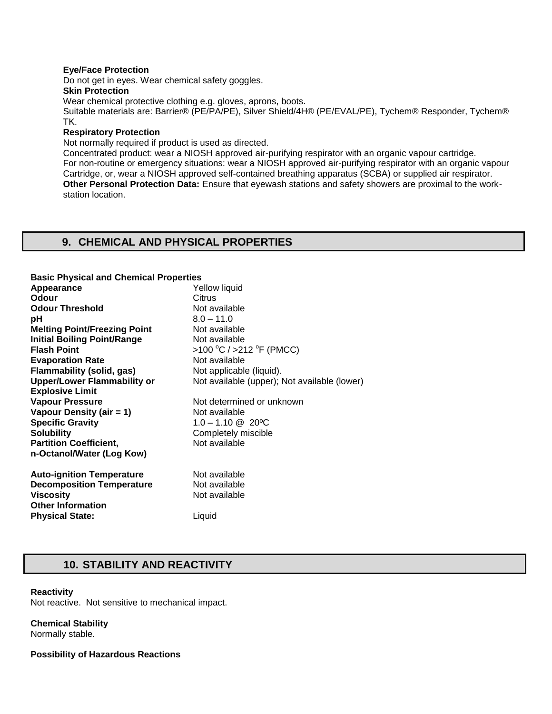#### **Eye/Face Protection**

Do not get in eyes. Wear chemical safety goggles.

#### **Skin Protection**

Wear chemical protective clothing e.g. gloves, aprons, boots.

Suitable materials are: Barrier® (PE/PA/PE), Silver Shield/4H® (PE/EVAL/PE), Tychem® Responder, Tychem® TK.

#### **Respiratory Protection**

Not normally required if product is used as directed.

Concentrated product: wear a NIOSH approved air-purifying respirator with an organic vapour cartridge. For non-routine or emergency situations: wear a NIOSH approved air-purifying respirator with an organic vapour Cartridge, or, wear a NIOSH approved self-contained breathing apparatus (SCBA) or supplied air respirator. **Other Personal Protection Data:** Ensure that eyewash stations and safety showers are proximal to the workstation location.

## **9. CHEMICAL AND PHYSICAL PROPERTIES**

#### **Basic Physical and Chemical Properties**

| Yellow liquid                                |
|----------------------------------------------|
| Citrus                                       |
| Not available                                |
| $8.0 - 11.0$                                 |
| Not available                                |
| Not available                                |
| >100 °C / >212 °F (PMCC)                     |
| Not available                                |
| Not applicable (liquid).                     |
| Not available (upper); Not available (lower) |
|                                              |
| Not determined or unknown                    |
| Not available                                |
| $1.0 - 1.10$ @ 20 °C                         |
| Completely miscible                          |
| Not available                                |
|                                              |
| Not available                                |
| Not available                                |
| Not available                                |
|                                              |
| Liquid                                       |
|                                              |

### **10. STABILITY AND REACTIVITY**

#### **Reactivity**

Not reactive. Not sensitive to mechanical impact.

#### **Chemical Stability** Normally stable.

**Possibility of Hazardous Reactions**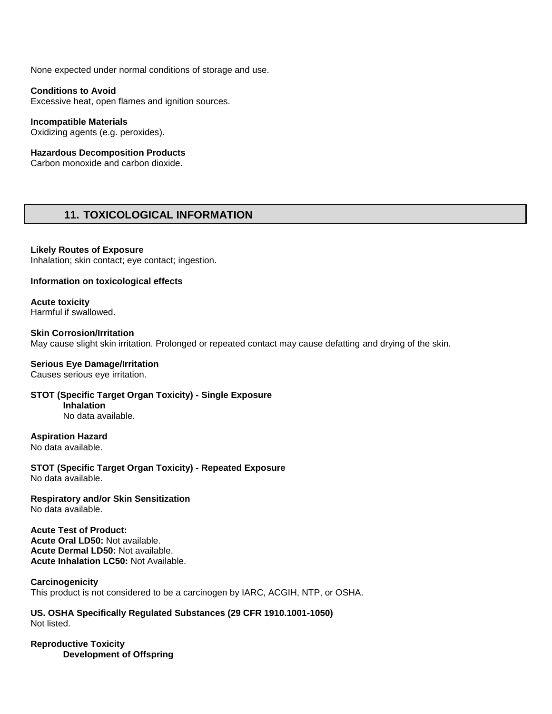None expected under normal conditions of storage and use.

#### **Conditions to Avoid**

Excessive heat, open flames and ignition sources.

**Incompatible Materials**  Oxidizing agents (e.g. peroxides).

#### **Hazardous Decomposition Products**

Carbon monoxide and carbon dioxide.

## **11. TOXICOLOGICAL INFORMATION**

**Likely Routes of Exposure**  Inhalation; skin contact; eye contact; ingestion.

**Information on toxicological effects**

**Acute toxicity** Harmful if swallowed.

**Skin Corrosion/Irritation**  May cause slight skin irritation. Prolonged or repeated contact may cause defatting and drying of the skin.

#### **Serious Eye Damage/Irritation**

Causes serious eye irritation.

**STOT (Specific Target Organ Toxicity) - Single Exposure Inhalation**  No data available.

**Aspiration Hazard**

No data available.

**STOT (Specific Target Organ Toxicity) - Repeated Exposure**  No data available.

#### **Respiratory and/or Skin Sensitization**  No data available.

**Acute Test of Product: Acute Oral LD50:** Not available. **Acute Dermal LD50:** Not available. **Acute Inhalation LC50:** Not Available.

### **Carcinogenicity**

This product is not considered to be a carcinogen by IARC, ACGIH, NTP, or OSHA.

**US. OSHA Specifically Regulated Substances (29 CFR 1910.1001-1050)** Not listed.

**Reproductive Toxicity Development of Offspring**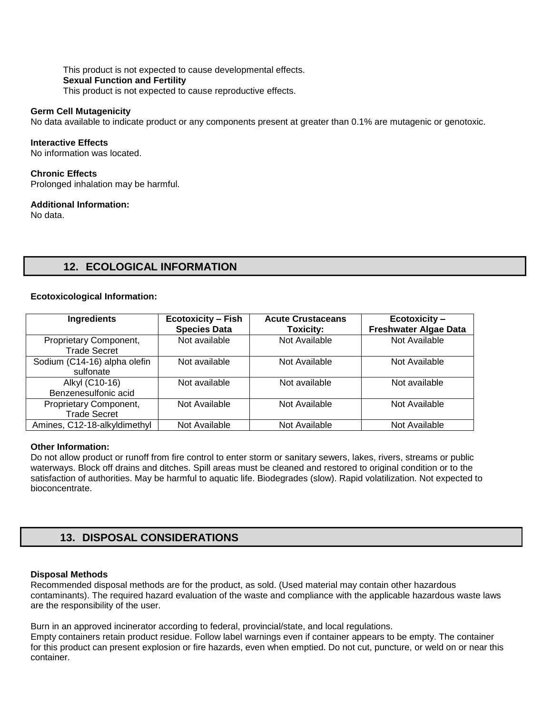This product is not expected to cause developmental effects. **Sexual Function and Fertility**  This product is not expected to cause reproductive effects.

#### **Germ Cell Mutagenicity**

No data available to indicate product or any components present at greater than 0.1% are mutagenic or genotoxic.

#### **Interactive Effects**

No information was located.

#### **Chronic Effects**

Prolonged inhalation may be harmful.

#### **Additional Information:**

No data.

## **12. ECOLOGICAL INFORMATION**

#### **Ecotoxicological Information:**

| Ingredients                                   | <b>Ecotoxicity - Fish</b><br><b>Species Data</b> | <b>Acute Crustaceans</b><br><b>Toxicity:</b> | Ecotoxicity-<br><b>Freshwater Algae Data</b> |
|-----------------------------------------------|--------------------------------------------------|----------------------------------------------|----------------------------------------------|
| Proprietary Component,<br><b>Trade Secret</b> | Not available                                    | Not Available                                | Not Available                                |
| Sodium (C14-16) alpha olefin<br>sulfonate     | Not available                                    | Not Available                                | Not Available                                |
| Alkyl (C10-16)<br>Benzenesulfonic acid        | Not available                                    | Not available                                | Not available                                |
| Proprietary Component,<br><b>Trade Secret</b> | Not Available                                    | Not Available                                | Not Available                                |
| Amines, C12-18-alkyldimethyl                  | Not Available                                    | Not Available                                | Not Available                                |

#### **Other Information:**

Do not allow product or runoff from fire control to enter storm or sanitary sewers, lakes, rivers, streams or public waterways. Block off drains and ditches. Spill areas must be cleaned and restored to original condition or to the satisfaction of authorities. May be harmful to aquatic life. Biodegrades (slow). Rapid volatilization. Not expected to bioconcentrate.

## **13. DISPOSAL CONSIDERATIONS**

#### **Disposal Methods**

Recommended disposal methods are for the product, as sold. (Used material may contain other hazardous contaminants). The required hazard evaluation of the waste and compliance with the applicable hazardous waste laws are the responsibility of the user.

Burn in an approved incinerator according to federal, provincial/state, and local regulations.

Empty containers retain product residue. Follow label warnings even if container appears to be empty. The container for this product can present explosion or fire hazards, even when emptied. Do not cut, puncture, or weld on or near this container.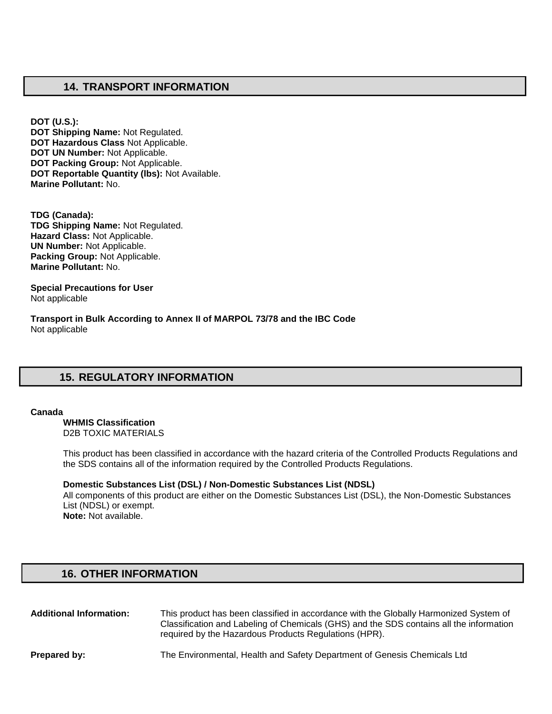## **14. TRANSPORT INFORMATION**

**DOT (U.S.): DOT Shipping Name:** Not Regulated. **DOT Hazardous Class** Not Applicable. **DOT UN Number:** Not Applicable. **DOT Packing Group:** Not Applicable. **DOT Reportable Quantity (lbs):** Not Available. **Marine Pollutant:** No.

**TDG (Canada): TDG Shipping Name:** Not Regulated. **Hazard Class:** Not Applicable. **UN Number:** Not Applicable. **Packing Group:** Not Applicable. **Marine Pollutant:** No.

**Special Precautions for User** Not applicable

**Transport in Bulk According to Annex II of MARPOL 73/78 and the IBC Code**  Not applicable

# **15. REGULATORY INFORMATION**

#### **Canada**

**WHMIS Classification**  D2B TOXIC MATERIALS

This product has been classified in accordance with the hazard criteria of the Controlled Products Regulations and the SDS contains all of the information required by the Controlled Products Regulations.

#### **Domestic Substances List (DSL) / Non-Domestic Substances List (NDSL)**

All components of this product are either on the Domestic Substances List (DSL), the Non-Domestic Substances List (NDSL) or exempt. **Note:** Not available.

### **16. OTHER INFORMATION**

| <b>Additional Information:</b> | This product has been classified in accordance with the Globally Harmonized System of<br>Classification and Labeling of Chemicals (GHS) and the SDS contains all the information<br>required by the Hazardous Products Regulations (HPR). |
|--------------------------------|-------------------------------------------------------------------------------------------------------------------------------------------------------------------------------------------------------------------------------------------|
| Prepared by:                   | The Environmental, Health and Safety Department of Genesis Chemicals Ltd                                                                                                                                                                  |